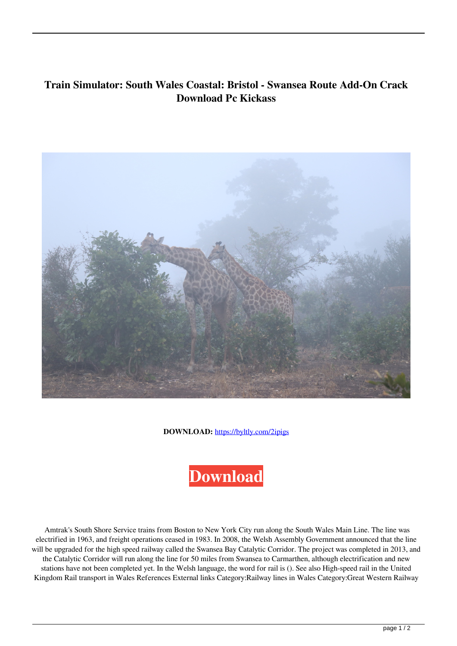## **Train Simulator: South Wales Coastal: Bristol - Swansea Route Add-On Crack Download Pc Kickass**



**DOWNLOAD:** <https://byltly.com/2ipigs>



 Amtrak's South Shore Service trains from Boston to New York City run along the South Wales Main Line. The line was electrified in 1963, and freight operations ceased in 1983. In 2008, the Welsh Assembly Government announced that the line will be upgraded for the high speed railway called the Swansea Bay Catalytic Corridor. The project was completed in 2013, and the Catalytic Corridor will run along the line for 50 miles from Swansea to Carmarthen, although electrification and new stations have not been completed yet. In the Welsh language, the word for rail is (). See also High-speed rail in the United Kingdom Rail transport in Wales References External links Category:Railway lines in Wales Category:Great Western Railway